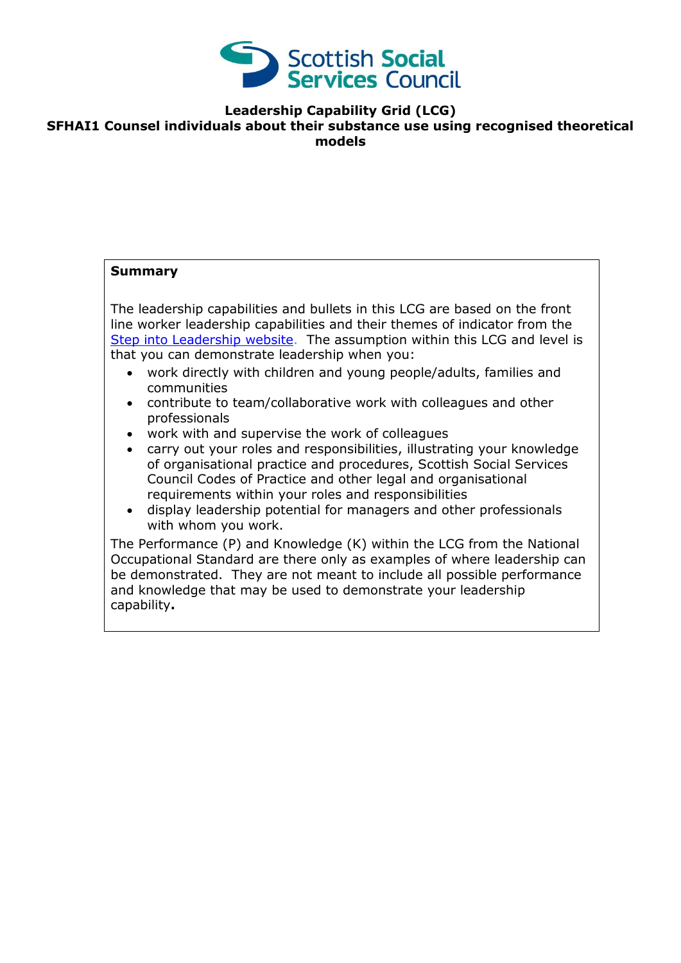

**Leadership Capability Grid (LCG)**

#### **SFHAI1 Counsel individuals about their substance use using recognised theoretical models**

# **Summary**

The leadership capabilities and bullets in this LCG are based on the front line worker leadership capabilities and their themes of indicator from the [Step into Leadership website.](http://www.stepintoleadership.info/) The assumption within this LCG and level is that you can demonstrate leadership when you:

- work directly with children and young people/adults, families and communities
- contribute to team/collaborative work with colleagues and other professionals
- work with and supervise the work of colleagues
- carry out your roles and responsibilities, illustrating your knowledge of organisational practice and procedures, Scottish Social Services Council Codes of Practice and other legal and organisational requirements within your roles and responsibilities
- display leadership potential for managers and other professionals with whom you work.

The Performance (P) and Knowledge (K) within the LCG from the National Occupational Standard are there only as examples of where leadership can be demonstrated. They are not meant to include all possible performance and knowledge that may be used to demonstrate your leadership capability**.**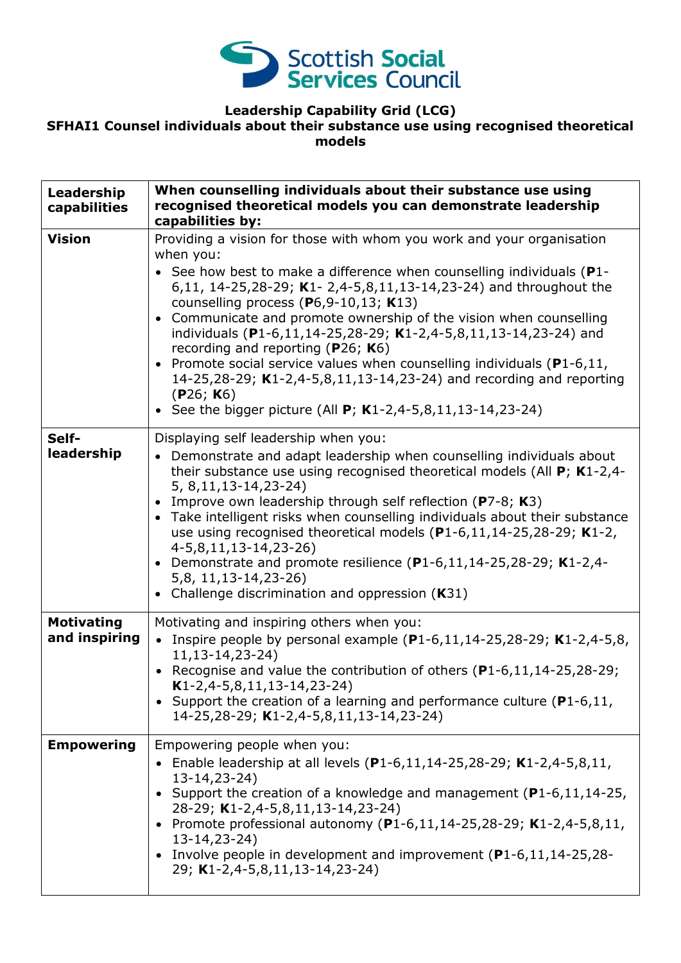

### **Leadership Capability Grid (LCG) SFHAI1 Counsel individuals about their substance use using recognised theoretical models**

| Leadership<br>capabilities         | When counselling individuals about their substance use using<br>recognised theoretical models you can demonstrate leadership<br>capabilities by:                                                                                                                                                                                                                                                                                                                                                                                                                                                                                                                                                                           |
|------------------------------------|----------------------------------------------------------------------------------------------------------------------------------------------------------------------------------------------------------------------------------------------------------------------------------------------------------------------------------------------------------------------------------------------------------------------------------------------------------------------------------------------------------------------------------------------------------------------------------------------------------------------------------------------------------------------------------------------------------------------------|
| <b>Vision</b>                      | Providing a vision for those with whom you work and your organisation<br>when you:<br>• See how best to make a difference when counselling individuals ( $P1$ -<br>6,11, 14-25,28-29; K1- 2,4-5,8,11,13-14,23-24) and throughout the<br>counselling process (P6,9-10,13; K13)<br>Communicate and promote ownership of the vision when counselling<br>$\bullet$<br>individuals (P1-6,11,14-25,28-29; K1-2,4-5,8,11,13-14,23-24) and<br>recording and reporting ( $P26$ ; K6)<br>Promote social service values when counselling individuals ( $P1-6,11$ ,<br>$\bullet$<br>14-25,28-29; K1-2,4-5,8,11,13-14,23-24) and recording and reporting<br>(P26; K6)<br>• See the bigger picture (All $P$ ; K1-2,4-5,8,11,13-14,23-24) |
| Self-<br>leadership                | Displaying self leadership when you:<br>• Demonstrate and adapt leadership when counselling individuals about<br>their substance use using recognised theoretical models (All $P$ ; K1-2,4-<br>5, 8, 11, 13 - 14, 23 - 24)<br>Improve own leadership through self reflection ( $P7-8$ ; K3)<br>$\bullet$<br>Take intelligent risks when counselling individuals about their substance<br>$\bullet$<br>use using recognised theoretical models $(P1-6, 11, 14-25, 28-29; K1-2,$<br>$4-5,8,11,13-14,23-26$<br>Demonstrate and promote resilience (P1-6,11,14-25,28-29; K1-2,4-<br>$\bullet$<br>5,8, 11, 13 - 14, 23 - 26)<br>• Challenge discrimination and oppression (K31)                                                 |
| <b>Motivating</b><br>and inspiring | Motivating and inspiring others when you:<br>• Inspire people by personal example $(P1-6, 11, 14-25, 28-29; K1-2, 4-5, 8,$<br>$11, 13 - 14, 23 - 24$<br>• Recognise and value the contribution of others $(P1-6, 11, 14-25, 28-29;$<br>$K1-2, 4-5, 8, 11, 13-14, 23-24)$<br>• Support the creation of a learning and performance culture ( $P1-6,11$ ,<br>14-25,28-29; K1-2,4-5,8,11,13-14,23-24)                                                                                                                                                                                                                                                                                                                          |
| <b>Empowering</b>                  | Empowering people when you:<br>• Enable leadership at all levels $(P1-6, 11, 14-25, 28-29; K1-2, 4-5, 8, 11,$<br>$13 - 14, 23 - 24)$<br>• Support the creation of a knowledge and management (P1-6,11,14-25,<br>28-29; K1-2,4-5,8,11,13-14,23-24)<br>• Promote professional autonomy (P1-6,11,14-25,28-29; K1-2,4-5,8,11,<br>$13 - 14, 23 - 24)$<br>• Involve people in development and improvement (P1-6,11,14-25,28-<br>29; K1-2,4-5,8,11,13-14,23-24)                                                                                                                                                                                                                                                                   |